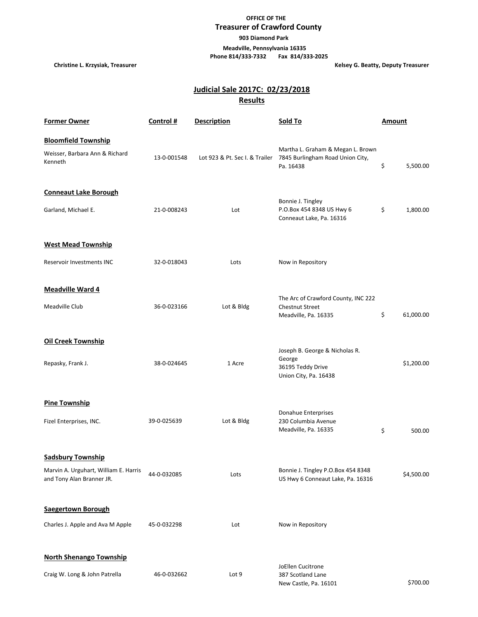## **OFFICE OF THE Treasurer of Crawford County**

 **903 Diamond Park**

 **Meadville, Pennsylvania 16335 Phone 814/333-7332 Fax 814/333-2025**

**Christine L. Krzysiak, Treasurer Christianus Christianus Christianus Christianus Christianus Christianus Christianus Christianus Christianus Christianus Christianus Christianus Christianus Christianus Christianus Christia** 

## **Results Judicial Sale 2017C: 02/23/2018**

| <b>Former Owner</b>                                                                            | Control #   | <b>Description</b>             | Sold To                                                                                | Amount          |
|------------------------------------------------------------------------------------------------|-------------|--------------------------------|----------------------------------------------------------------------------------------|-----------------|
| <b>Bloomfield Township</b><br>Weisser, Barbara Ann & Richard<br>Kenneth                        | 13-0-001548 | Lot 923 & Pt. Sec I. & Trailer | Martha L. Graham & Megan L. Brown<br>7845 Burlingham Road Union City,<br>Pa. 16438     | \$<br>5,500.00  |
| <b>Conneaut Lake Borough</b><br>Garland, Michael E.                                            | 21-0-008243 | Lot                            | Bonnie J. Tingley<br>P.O.Box 454 8348 US Hwy 6<br>Conneaut Lake, Pa. 16316             | \$<br>1,800.00  |
| <b>West Mead Township</b>                                                                      |             |                                |                                                                                        |                 |
| Reservoir Investments INC                                                                      | 32-0-018043 | Lots                           | Now in Repository                                                                      |                 |
| Meadville Ward 4<br>Meadville Club                                                             | 36-0-023166 | Lot & Bldg                     | The Arc of Crawford County, INC 222<br><b>Chestnut Street</b><br>Meadville, Pa. 16335  | \$<br>61,000.00 |
| <b>Oil Creek Township</b><br>Repasky, Frank J.                                                 | 38-0-024645 | 1 Acre                         | Joseph B. George & Nicholas R.<br>George<br>36195 Teddy Drive<br>Union City, Pa. 16438 | \$1,200.00      |
| <b>Pine Township</b><br>Fizel Enterprises, INC.                                                | 39-0-025639 | Lot & Bldg                     | Donahue Enterprises<br>230 Columbia Avenue<br>Meadville, Pa. 16335                     | \$<br>500.00    |
| <b>Sadsbury Township</b><br>Marvin A. Urguhart, William E. Harris<br>and Tony Alan Branner JR. | 44-0-032085 | Lots                           | Bonnie J. Tingley P.O.Box 454 8348<br>US Hwy 6 Conneaut Lake, Pa. 16316                | \$4,500.00      |
| <b>Saegertown Borough</b>                                                                      |             |                                |                                                                                        |                 |
| Charles J. Apple and Ava M Apple                                                               | 45-0-032298 | Lot                            | Now in Repository                                                                      |                 |
| <b>North Shenango Township</b><br>Craig W. Long & John Patrella                                | 46-0-032662 | Lot 9                          | JoEllen Cucitrone<br>387 Scotland Lane<br>New Castle, Pa. 16101                        | \$700.00        |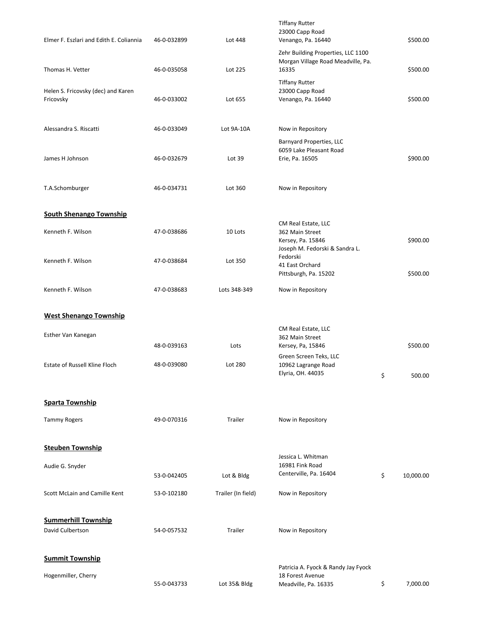| Elmer F. Eszlari and Edith E. Coliannia         | 46-0-032899                | Lot 448            | <b>Tiffany Rutter</b><br>23000 Capp Road<br>Venango, Pa. 16440                                | \$500.00                 |
|-------------------------------------------------|----------------------------|--------------------|-----------------------------------------------------------------------------------------------|--------------------------|
| Thomas H. Vetter                                | 46-0-035058                | Lot 225            | Zehr Building Properties, LLC 1100<br>Morgan Village Road Meadville, Pa.<br>16335             | \$500.00                 |
| Helen S. Fricovsky (dec) and Karen<br>Fricovsky | 46-0-033002                | Lot 655            | <b>Tiffany Rutter</b><br>23000 Capp Road<br>Venango, Pa. 16440                                | \$500.00                 |
| Alessandra S. Riscatti                          | 46-0-033049                | Lot 9A-10A         | Now in Repository                                                                             |                          |
| James H Johnson                                 | 46-0-032679                | Lot 39             | Barnyard Properties, LLC<br>6059 Lake Pleasant Road<br>Erie, Pa. 16505                        | \$900.00                 |
| T.A.Schomburger                                 | 46-0-034731                | Lot 360            | Now in Repository                                                                             |                          |
| <b>South Shenango Township</b>                  |                            |                    |                                                                                               |                          |
| Kenneth F. Wilson                               | 47-0-038686                | 10 Lots            | CM Real Estate, LLC<br>362 Main Street<br>Kersey, Pa. 15846<br>Joseph M. Fedorski & Sandra L. | \$900.00                 |
| Kenneth F. Wilson                               | 47-0-038684                | Lot 350            | Fedorski<br>41 East Orchard<br>Pittsburgh, Pa. 15202                                          | \$500.00                 |
| Kenneth F. Wilson                               | 47-0-038683                | Lots 348-349       | Now in Repository                                                                             |                          |
| <b>West Shenango Township</b>                   |                            |                    |                                                                                               |                          |
|                                                 |                            |                    | CM Real Estate, LLC                                                                           |                          |
| Esther Van Kanegan                              |                            |                    | 362 Main Street                                                                               |                          |
| Estate of Russell Kline Floch                   | 48-0-039163<br>48-0-039080 | Lots<br>Lot 280    | Kersey, Pa, 15846<br>Green Screen Teks, LLC<br>10962 Lagrange Road<br>Elyria, OH. 44035       | \$<br>\$500.00<br>500.00 |
| <b>Sparta Township</b>                          |                            |                    |                                                                                               |                          |
| <b>Tammy Rogers</b>                             | 49-0-070316                | Trailer            | Now in Repository                                                                             |                          |
| <b>Steuben Township</b>                         |                            |                    |                                                                                               |                          |
| Audie G. Snyder                                 | 53-0-042405                | Lot & Bldg         | Jessica L. Whitman<br>16981 Fink Road<br>Centerville, Pa. 16404                               | \$<br>10,000.00          |
| Scott McLain and Camille Kent                   | 53-0-102180                | Trailer (In field) | Now in Repository                                                                             |                          |
| <b>Summerhill Township</b>                      |                            |                    |                                                                                               |                          |
| David Culbertson                                | 54-0-057532                | Trailer            | Now in Repository                                                                             |                          |
| <b>Summit Township</b>                          |                            |                    | Patricia A. Fyock & Randy Jay Fyock                                                           |                          |